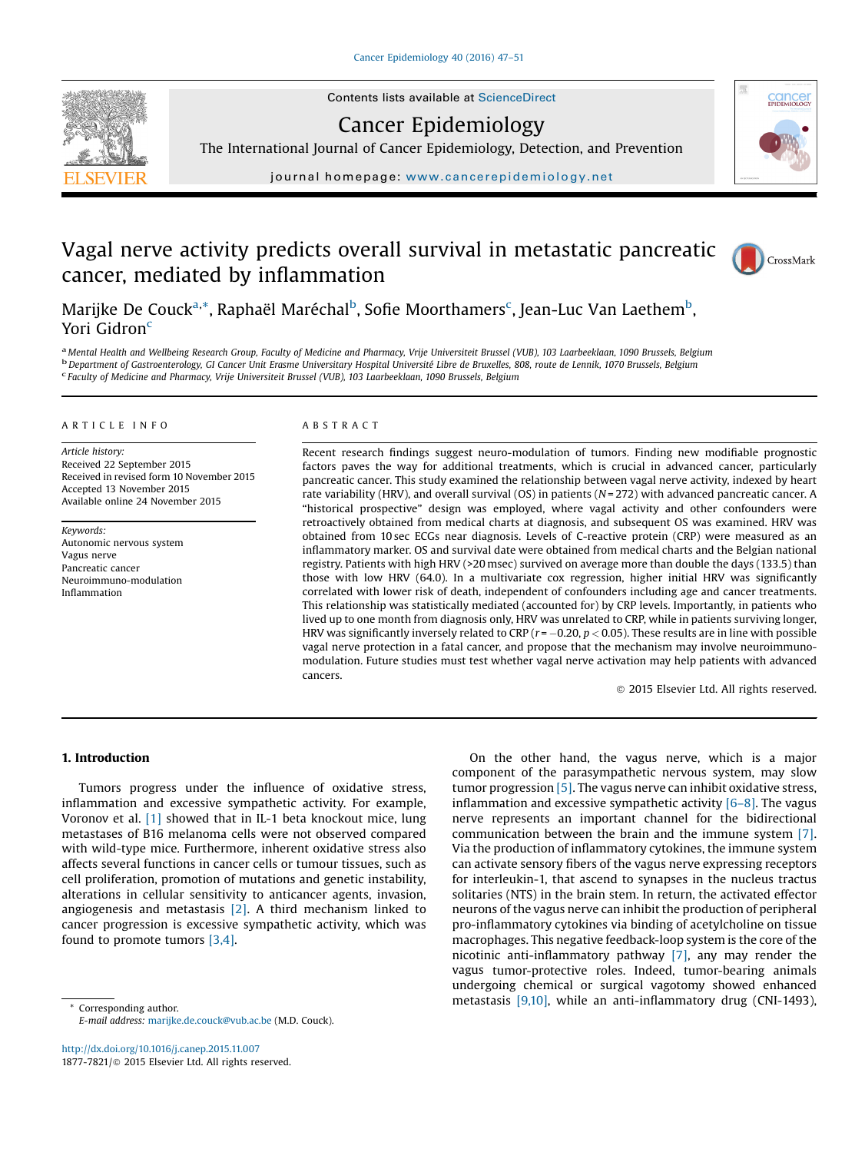

Contents lists available at [ScienceDirect](http://www.sciencedirect.com/science/journal/18777821)

Cancer Epidemiology

The International Journal of Cancer Epidemiology, Detection, and Prevention

journal homepage: <www.cancerepidemiology.net>

# Vagal nerve activity predicts overall survival in metastatic pancreatic cancer, mediated by inflammation



**CONCE** 

Marijke De Couck<sup>a,</sup>\*, Raphaël Maréchal<sup>b</sup>, Sofie Moorthamers<sup>c</sup>, Jean-Luc Van Laethem<sup>b</sup>, Yori Gidron<sup>c</sup>

<sup>a</sup> Mental Health and Wellbeing Research Group, Faculty of Medicine and Pharmacy, Vrije Universiteit Brussel (VUB), 103 Laarbeeklaan, 1090 Brussels, Belgium<br><sup>b</sup> Department of Gastroenterology, GI Cancer Unit Erasme Univers Faculty of Medicine and Pharmacy, Vrije Universiteit Brussel (VUB), 103 Laarbeeklaan, 1090 Brussels, Belgium

#### A R T I C L E I N F O

Article history: Received 22 September 2015 Received in revised form 10 November 2015 Accepted 13 November 2015 Available online 24 November 2015

Keywords: Autonomic nervous system Vagus nerve Pancreatic cancer Neuroimmuno-modulation Inflammation

# A B S T R A C T

Recent research findings suggest neuro-modulation of tumors. Finding new modifiable prognostic factors paves the way for additional treatments, which is crucial in advanced cancer, particularly pancreatic cancer. This study examined the relationship between vagal nerve activity, indexed by heart rate variability (HRV), and overall survival (OS) in patients ( $N = 272$ ) with advanced pancreatic cancer. A "historical prospective" design was employed, where vagal activity and other confounders were retroactively obtained from medical charts at diagnosis, and subsequent OS was examined. HRV was obtained from 10 sec ECGs near diagnosis. Levels of C-reactive protein (CRP) were measured as an inflammatory marker. OS and survival date were obtained from medical charts and the Belgian national registry. Patients with high HRV (>20 msec) survived on average more than double the days (133.5) than those with low HRV (64.0). In a multivariate cox regression, higher initial HRV was significantly correlated with lower risk of death, independent of confounders including age and cancer treatments. This relationship was statistically mediated (accounted for) by CRP levels. Importantly, in patients who lived up to one month from diagnosis only, HRV was unrelated to CRP, while in patients surviving longer, HRV was significantly inversely related to CRP ( $r = -0.20$ ,  $p < 0.05$ ). These results are in line with possible vagal nerve protection in a fatal cancer, and propose that the mechanism may involve neuroimmunomodulation. Future studies must test whether vagal nerve activation may help patients with advanced cancers.

ã 2015 Elsevier Ltd. All rights reserved.

# 1. Introduction

Tumors progress under the influence of oxidative stress, inflammation and excessive sympathetic activity. For example, Voronov et al. [\[1\]](#page-4-0) showed that in IL-1 beta knockout mice, lung metastases of B16 melanoma cells were not observed compared with wild-type mice. Furthermore, inherent oxidative stress also affects several functions in cancer cells or tumour tissues, such as cell proliferation, promotion of mutations and genetic instability, alterations in cellular sensitivity to anticancer agents, invasion, angiogenesis and metastasis [\[2\]](#page-4-0). A third mechanism linked to cancer progression is excessive sympathetic activity, which was found to promote tumors [\[3,4\]](#page-4-0).

E-mail address: [marijke.de.couck@vub.ac.be](mailto:) (M.D. Couck).

<http://dx.doi.org/10.1016/j.canep.2015.11.007> 1877-7821/ $\odot$  2015 Elsevier Ltd. All rights reserved.

On the other hand, the vagus nerve, which is a major component of the parasympathetic nervous system, may slow tumor progression [\[5\]](#page-4-0). The vagus nerve can inhibit oxidative stress, inflammation and excessive sympathetic activity [\[6](#page-4-0)–8]. The vagus nerve represents an important channel for the bidirectional communication between the brain and the immune system [\[7\]](#page-4-0). Via the production of inflammatory cytokines, the immune system can activate sensory fibers of the vagus nerve expressing receptors for interleukin-1, that ascend to synapses in the nucleus tractus solitaries (NTS) in the brain stem. In return, the activated effector neurons of the vagus nerve can inhibit the production of peripheral pro-inflammatory cytokines via binding of acetylcholine on tissue macrophages. This negative feedback-loop system is the core of the nicotinic anti-inflammatory pathway [\[7\]](#page-4-0), any may render the vagus tumor-protective roles. Indeed, tumor-bearing animals undergoing chemical or surgical vagotomy showed enhanced  $\overline{\text{Corresponding author}}$ .  $\overline{\text{Corresponding author}}$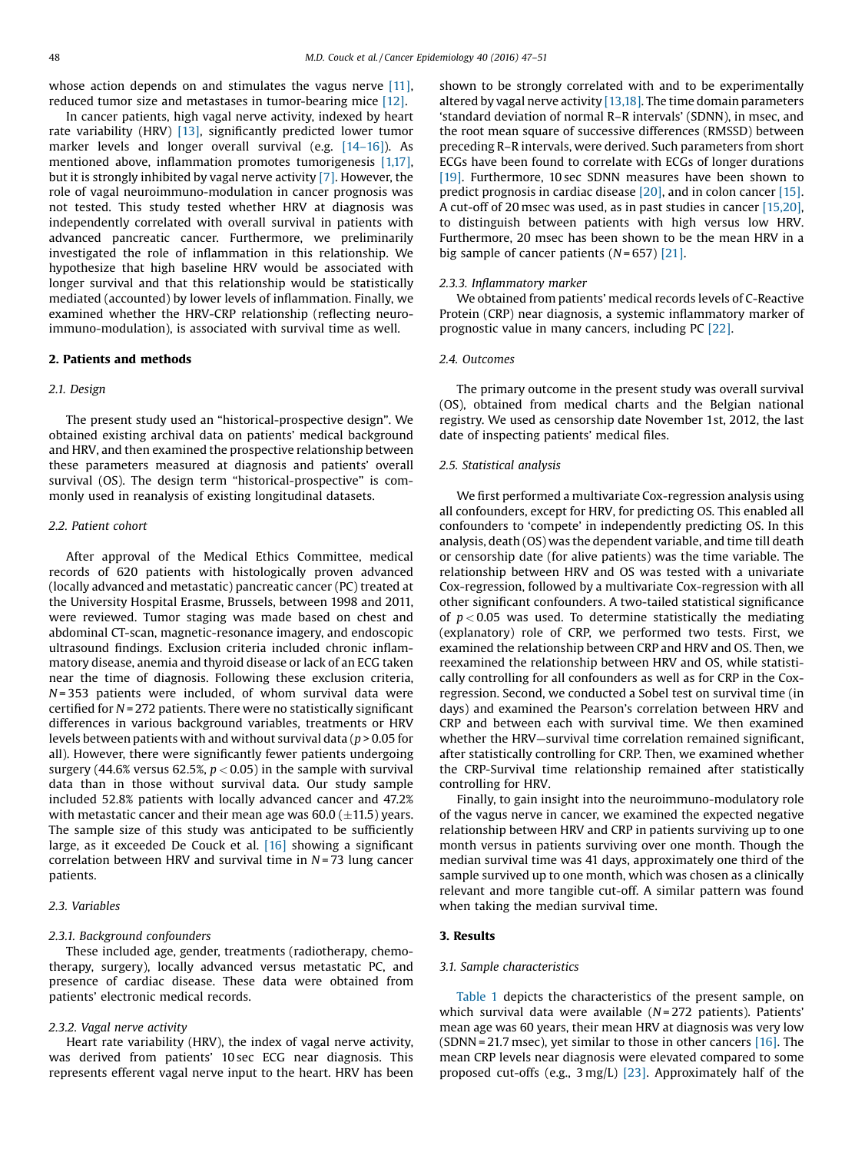whose action depends on and stimulates the vagus nerve [\[11\],](#page-4-0) reduced tumor size and metastases in tumor-bearing mice [\[12\].](#page-4-0)

In cancer patients, high vagal nerve activity, indexed by heart rate variability (HRV) [\[13\]](#page-4-0), significantly predicted lower tumor marker levels and longer overall survival (e.g. [14–[16\]\)](#page-4-0). As mentioned above, inflammation promotes tumorigenesis [\[1,17\],](#page-4-0) but it is strongly inhibited by vagal nerve activity [\[7\].](#page-4-0) However, the role of vagal neuroimmuno-modulation in cancer prognosis was not tested. This study tested whether HRV at diagnosis was independently correlated with overall survival in patients with advanced pancreatic cancer. Furthermore, we preliminarily investigated the role of inflammation in this relationship. We hypothesize that high baseline HRV would be associated with longer survival and that this relationship would be statistically mediated (accounted) by lower levels of inflammation. Finally, we examined whether the HRV-CRP relationship (reflecting neuroimmuno-modulation), is associated with survival time as well.

#### 2. Patients and methods

# 2.1. Design

The present study used an "historical-prospective design". We obtained existing archival data on patients' medical background and HRV, and then examined the prospective relationship between these parameters measured at diagnosis and patients' overall survival (OS). The design term "historical-prospective" is commonly used in reanalysis of existing longitudinal datasets.

# 2.2. Patient cohort

After approval of the Medical Ethics Committee, medical records of 620 patients with histologically proven advanced (locally advanced and metastatic) pancreatic cancer (PC) treated at the University Hospital Erasme, Brussels, between 1998 and 2011, were reviewed. Tumor staging was made based on chest and abdominal CT-scan, magnetic-resonance imagery, and endoscopic ultrasound findings. Exclusion criteria included chronic inflammatory disease, anemia and thyroid disease or lack of an ECG taken near the time of diagnosis. Following these exclusion criteria,  $N = 353$  patients were included, of whom survival data were certified for  $N = 272$  patients. There were no statistically significant differences in various background variables, treatments or HRV levels between patients with and without survival data ( $p > 0.05$  for all). However, there were significantly fewer patients undergoing surgery (44.6% versus 62.5%,  $p < 0.05$ ) in the sample with survival data than in those without survival data. Our study sample included 52.8% patients with locally advanced cancer and 47.2% with metastatic cancer and their mean age was  $60.0$  ( $\pm$ 11.5) years. The sample size of this study was anticipated to be sufficiently large, as it exceeded De Couck et al. [\[16\]](#page-4-0) showing a significant correlation between HRV and survival time in  $N = 73$  lung cancer patients.

# 2.3. Variables

#### 2.3.1. Background confounders

These included age, gender, treatments (radiotherapy, chemotherapy, surgery), locally advanced versus metastatic PC, and presence of cardiac disease. These data were obtained from patients' electronic medical records.

#### 2.3.2. Vagal nerve activity

Heart rate variability (HRV), the index of vagal nerve activity, was derived from patients' 10 sec ECG near diagnosis. This represents efferent vagal nerve input to the heart. HRV has been shown to be strongly correlated with and to be experimentally altered by vagal nerve activity  $[13,18]$ . The time domain parameters 'standard deviation of normal R–R intervals' (SDNN), in msec, and the root mean square of successive differences (RMSSD) between preceding R–R intervals, were derived. Such parameters from short ECGs have been found to correlate with ECGs of longer durations [\[19\].](#page-4-0) Furthermore, 10 sec SDNN measures have been shown to predict prognosis in cardiac disease [\[20\]](#page-4-0), and in colon cancer [\[15\].](#page-4-0) A cut-off of 20 msec was used, as in past studies in cancer [\[15,20\],](#page-4-0) to distinguish between patients with high versus low HRV. Furthermore, 20 msec has been shown to be the mean HRV in a big sample of cancer patients  $(N = 657)$  [\[21\].](#page-4-0)

#### 2.3.3. Inflammatory marker

We obtained from patients' medical records levels of C-Reactive Protein (CRP) near diagnosis, a systemic inflammatory marker of prognostic value in many cancers, including PC [\[22\]](#page-4-0).

#### 2.4. Outcomes

The primary outcome in the present study was overall survival (OS), obtained from medical charts and the Belgian national registry. We used as censorship date November 1st, 2012, the last date of inspecting patients' medical files.

# 2.5. Statistical analysis

We first performed a multivariate Cox-regression analysis using all confounders, except for HRV, for predicting OS. This enabled all confounders to 'compete' in independently predicting OS. In this analysis, death (OS) was the dependent variable, and time till death or censorship date (for alive patients) was the time variable. The relationship between HRV and OS was tested with a univariate Cox-regression, followed by a multivariate Cox-regression with all other significant confounders. A two-tailed statistical significance of  $p < 0.05$  was used. To determine statistically the mediating (explanatory) role of CRP, we performed two tests. First, we examined the relationship between CRP and HRV and OS. Then, we reexamined the relationship between HRV and OS, while statistically controlling for all confounders as well as for CRP in the Coxregression. Second, we conducted a Sobel test on survival time (in days) and examined the Pearson's correlation between HRV and CRP and between each with survival time. We then examined whether the HRV—survival time correlation remained significant, after statistically controlling for CRP. Then, we examined whether the CRP-Survival time relationship remained after statistically controlling for HRV.

Finally, to gain insight into the neuroimmuno-modulatory role of the vagus nerve in cancer, we examined the expected negative relationship between HRV and CRP in patients surviving up to one month versus in patients surviving over one month. Though the median survival time was 41 days, approximately one third of the sample survived up to one month, which was chosen as a clinically relevant and more tangible cut-off. A similar pattern was found when taking the median survival time.

## 3. Results

#### 3.1. Sample characteristics

[Table](#page-2-0) 1 depicts the characteristics of the present sample, on which survival data were available  $(N = 272$  patients). Patients' mean age was 60 years, their mean HRV at diagnosis was very low (SDNN = 21.7 msec), yet similar to those in other cancers  $[16]$ . The mean CRP levels near diagnosis were elevated compared to some proposed cut-offs (e.g., 3 mg/L) [\[23\]](#page-4-0). Approximately half of the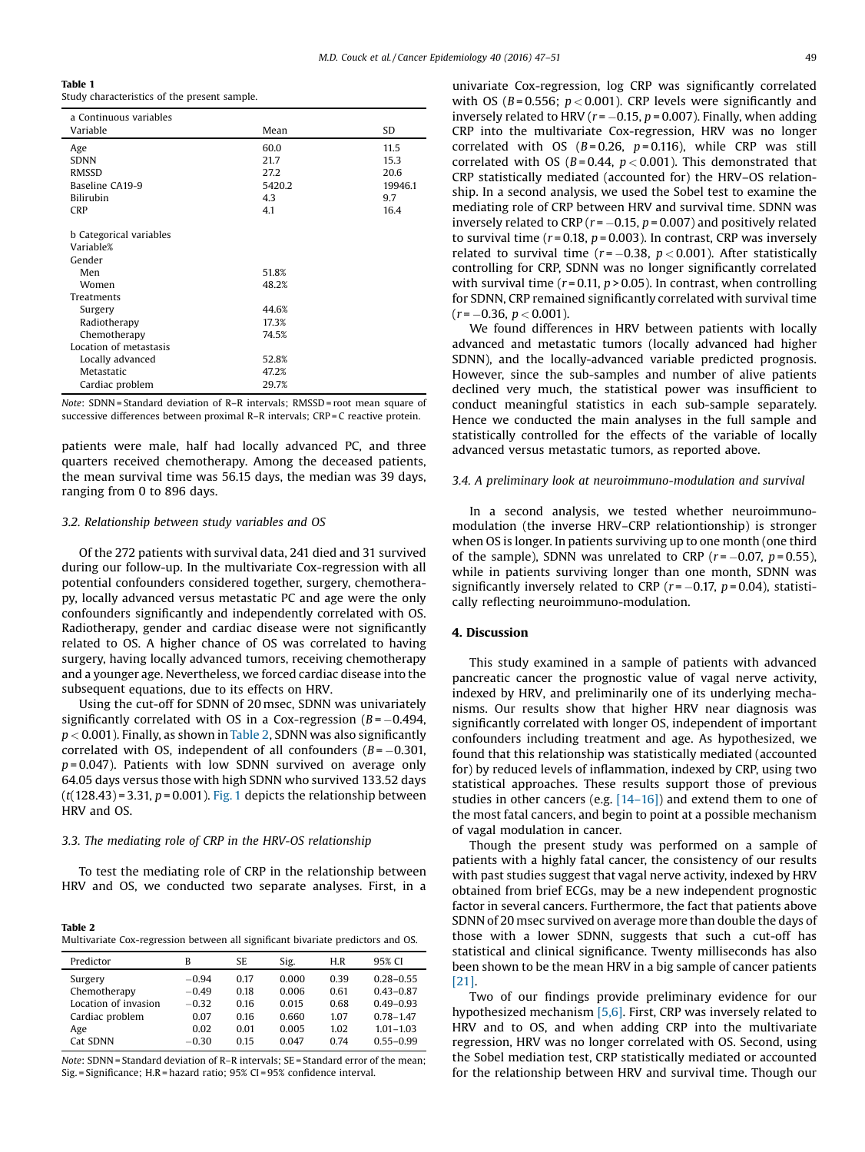<span id="page-2-0"></span>Table 1

Study characteristics of the present sample.

| a Continuous variables         |        |         |  |  |  |
|--------------------------------|--------|---------|--|--|--|
| Variable                       | Mean   | SD      |  |  |  |
| Age                            | 60.0   | 11.5    |  |  |  |
| <b>SDNN</b>                    | 21.7   | 15.3    |  |  |  |
| <b>RMSSD</b>                   | 27.2   | 20.6    |  |  |  |
| Baseline CA19-9                | 5420.2 | 19946.1 |  |  |  |
| <b>Bilirubin</b>               | 4.3    | 9.7     |  |  |  |
| <b>CRP</b>                     | 4.1    | 16.4    |  |  |  |
|                                |        |         |  |  |  |
| <b>b</b> Categorical variables |        |         |  |  |  |
| Variable%                      |        |         |  |  |  |
| Gender                         |        |         |  |  |  |
| Men                            | 51.8%  |         |  |  |  |
| Women                          | 48.2%  |         |  |  |  |
| Treatments                     |        |         |  |  |  |
| Surgery                        | 44.6%  |         |  |  |  |
| Radiotherapy                   | 17.3%  |         |  |  |  |
| Chemotherapy                   | 74.5%  |         |  |  |  |
| Location of metastasis         |        |         |  |  |  |
| Locally advanced               | 52.8%  |         |  |  |  |
| Metastatic                     | 47.2%  |         |  |  |  |
| Cardiac problem                | 29.7%  |         |  |  |  |

Note: SDNN = Standard deviation of R–R intervals; RMSSD = root mean square of successive differences between proximal R–R intervals; CRP = C reactive protein.

patients were male, half had locally advanced PC, and three quarters received chemotherapy. Among the deceased patients, the mean survival time was 56.15 days, the median was 39 days, ranging from 0 to 896 days.

### 3.2. Relationship between study variables and OS

Of the 272 patients with survival data, 241 died and 31 survived during our follow-up. In the multivariate Cox-regression with all potential confounders considered together, surgery, chemotherapy, locally advanced versus metastatic PC and age were the only confounders significantly and independently correlated with OS. Radiotherapy, gender and cardiac disease were not significantly related to OS. A higher chance of OS was correlated to having surgery, having locally advanced tumors, receiving chemotherapy and a younger age. Nevertheless, we forced cardiac disease into the subsequent equations, due to its effects on HRV.

Using the cut-off for SDNN of 20 msec, SDNN was univariately significantly correlated with OS in a Cox-regression  $(B = -0.494,$  $p < 0.001$ ). Finally, as shown in Table 2, SDNN was also significantly correlated with OS, independent of all confounders  $(B = -0.301,$  $p = 0.047$ ). Patients with low SDNN survived on average only 64.05 days versus those with high SDNN who survived 133.52 days  $(t(128.43) = 3.31, p = 0.001)$ . [Fig.](#page-3-0) 1 depicts the relationship between HRV and OS.

# 3.3. The mediating role of CRP in the HRV-OS relationship

To test the mediating role of CRP in the relationship between HRV and OS, we conducted two separate analyses. First, in a

Table 2 Multivariate Cox-regression between all significant bivariate predictors and OS.

| Predictor            | B       | SE.  | Sig.  | H.R  | 95% CI        |
|----------------------|---------|------|-------|------|---------------|
| Surgery              | $-0.94$ | 0.17 | 0.000 | 0.39 | $0.28 - 0.55$ |
| Chemotherapy         | $-0.49$ | 0.18 | 0.006 | 0.61 | $0.43 - 0.87$ |
| Location of invasion | $-0.32$ | 0.16 | 0.015 | 0.68 | $0.49 - 0.93$ |
| Cardiac problem      | 0.07    | 0.16 | 0.660 | 1.07 | $0.78 - 1.47$ |
| Age                  | 0.02    | 0.01 | 0.005 | 1.02 | $101 - 103$   |
| Cat SDNN             | $-0.30$ | 0.15 | 0.047 | 0.74 | $0.55 - 0.99$ |

Note: SDNN = Standard deviation of R–R intervals; SE = Standard error of the mean; Sig. = Significance; H.R = hazard ratio; 95% CI = 95% confidence interval.

univariate Cox-regression, log CRP was significantly correlated with OS ( $B = 0.556$ ;  $p < 0.001$ ). CRP levels were significantly and inversely related to HRV ( $r = -0.15$ ,  $p = 0.007$ ). Finally, when adding CRP into the multivariate Cox-regression, HRV was no longer correlated with OS ( $B = 0.26$ ,  $p = 0.116$ ), while CRP was still correlated with OS ( $B = 0.44$ ,  $p < 0.001$ ). This demonstrated that CRP statistically mediated (accounted for) the HRV–OS relationship. In a second analysis, we used the Sobel test to examine the mediating role of CRP between HRV and survival time. SDNN was inversely related to CRP ( $r = -0.15$ ,  $p = 0.007$ ) and positively related to survival time ( $r = 0.18$ ,  $p = 0.003$ ). In contrast, CRP was inversely related to survival time ( $r = -0.38$ ,  $p < 0.001$ ). After statistically controlling for CRP, SDNN was no longer significantly correlated with survival time ( $r = 0.11$ ,  $p > 0.05$ ). In contrast, when controlling for SDNN, CRP remained significantly correlated with survival time  $(r = -0.36, p < 0.001)$ .

We found differences in HRV between patients with locally advanced and metastatic tumors (locally advanced had higher SDNN), and the locally-advanced variable predicted prognosis. However, since the sub-samples and number of alive patients declined very much, the statistical power was insufficient to conduct meaningful statistics in each sub-sample separately. Hence we conducted the main analyses in the full sample and statistically controlled for the effects of the variable of locally advanced versus metastatic tumors, as reported above.

# 3.4. A preliminary look at neuroimmuno-modulation and survival

In a second analysis, we tested whether neuroimmunomodulation (the inverse HRV–CRP relationtionship) is stronger when OS is longer. In patients surviving up to one month (one third of the sample), SDNN was unrelated to CRP ( $r = -0.07$ ,  $p = 0.55$ ), while in patients surviving longer than one month, SDNN was significantly inversely related to CRP ( $r = -0.17$ ,  $p = 0.04$ ), statistically reflecting neuroimmuno-modulation.

#### 4. Discussion

This study examined in a sample of patients with advanced pancreatic cancer the prognostic value of vagal nerve activity, indexed by HRV, and preliminarily one of its underlying mechanisms. Our results show that higher HRV near diagnosis was significantly correlated with longer OS, independent of important confounders including treatment and age. As hypothesized, we found that this relationship was statistically mediated (accounted for) by reduced levels of inflammation, indexed by CRP, using two statistical approaches. These results support those of previous studies in other cancers (e.g. [14–[16\]\)](#page-4-0) and extend them to one of the most fatal cancers, and begin to point at a possible mechanism of vagal modulation in cancer.

Though the present study was performed on a sample of patients with a highly fatal cancer, the consistency of our results with past studies suggest that vagal nerve activity, indexed by HRV obtained from brief ECGs, may be a new independent prognostic factor in several cancers. Furthermore, the fact that patients above SDNN of 20 msec survived on average more than double the days of those with a lower SDNN, suggests that such a cut-off has statistical and clinical significance. Twenty milliseconds has also been shown to be the mean HRV in a big sample of cancer patients [\[21\]](#page-4-0).

Two of our findings provide preliminary evidence for our hypothesized mechanism [\[5,6\].](#page-4-0) First, CRP was inversely related to HRV and to OS, and when adding CRP into the multivariate regression, HRV was no longer correlated with OS. Second, using the Sobel mediation test, CRP statistically mediated or accounted for the relationship between HRV and survival time. Though our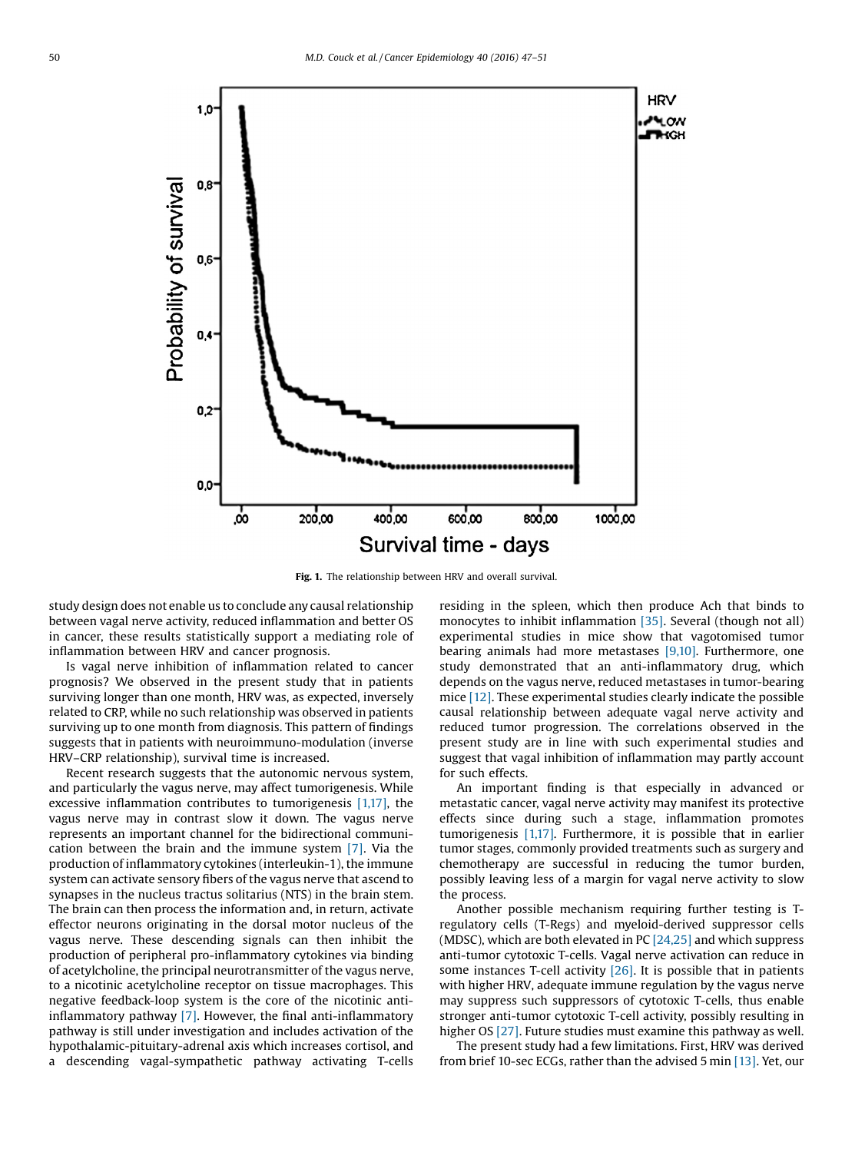<span id="page-3-0"></span>

Fig. 1. The relationship between HRV and overall survival.

study design does not enable us to conclude any causal relationship between vagal nerve activity, reduced inflammation and better OS in cancer, these results statistically support a mediating role of inflammation between HRV and cancer prognosis.

Is vagal nerve inhibition of inflammation related to cancer prognosis? We observed in the present study that in patients surviving longer than one month, HRV was, as expected, inversely related to CRP, while no such relationship was observed in patients surviving up to one month from diagnosis. This pattern of findings suggests that in patients with neuroimmuno-modulation (inverse HRV–CRP relationship), survival time is increased.

Recent research suggests that the autonomic nervous system, and particularly the vagus nerve, may affect tumorigenesis. While excessive inflammation contributes to tumorigenesis [\[1,17\]](#page-4-0), the vagus nerve may in contrast slow it down. The vagus nerve represents an important channel for the bidirectional communication between the brain and the immune system [\[7\]](#page-4-0). Via the production of inflammatory cytokines (interleukin-1), the immune system can activate sensory fibers of the vagus nerve that ascend to synapses in the nucleus tractus solitarius (NTS) in the brain stem. The brain can then process the information and, in return, activate effector neurons originating in the dorsal motor nucleus of the vagus nerve. These descending signals can then inhibit the production of peripheral pro-inflammatory cytokines via binding of acetylcholine, the principal neurotransmitter of the vagus nerve, to a nicotinic acetylcholine receptor on tissue macrophages. This negative feedback-loop system is the core of the nicotinic antiinflammatory pathway [\[7\]](#page-4-0). However, the final anti-inflammatory pathway is still under investigation and includes activation of the hypothalamic-pituitary-adrenal axis which increases cortisol, and a descending vagal-sympathetic pathway activating T-cells residing in the spleen, which then produce Ach that binds to monocytes to inhibit inflammation [\[35\].](#page-4-0) Several (though not all) experimental studies in mice show that vagotomised tumor bearing animals had more metastases [\[9,10\]](#page-4-0). Furthermore, one study demonstrated that an anti-inflammatory drug, which depends on the vagus nerve, reduced metastases in tumor-bearing mice [\[12\]](#page-4-0). These experimental studies clearly indicate the possible causal relationship between adequate vagal nerve activity and reduced tumor progression. The correlations observed in the present study are in line with such experimental studies and suggest that vagal inhibition of inflammation may partly account for such effects.

An important finding is that especially in advanced or metastatic cancer, vagal nerve activity may manifest its protective effects since during such a stage, inflammation promotes tumorigenesis [\[1,17\]](#page-4-0). Furthermore, it is possible that in earlier tumor stages, commonly provided treatments such as surgery and chemotherapy are successful in reducing the tumor burden, possibly leaving less of a margin for vagal nerve activity to slow the process.

Another possible mechanism requiring further testing is Tregulatory cells (T-Regs) and myeloid-derived suppressor cells (MDSC), which are both elevated in PC  $[24,25]$  and which suppress anti-tumor cytotoxic T-cells. Vagal nerve activation can reduce in some instances T-cell activity  $[26]$ . It is possible that in patients with higher HRV, adequate immune regulation by the vagus nerve may suppress such suppressors of cytotoxic T-cells, thus enable stronger anti-tumor cytotoxic T-cell activity, possibly resulting in higher OS [\[27\]](#page-4-0). Future studies must examine this pathway as well.

The present study had a few limitations. First, HRV was derived from brief 10-sec ECGs, rather than the advised 5 min [\[13\]](#page-4-0). Yet, our